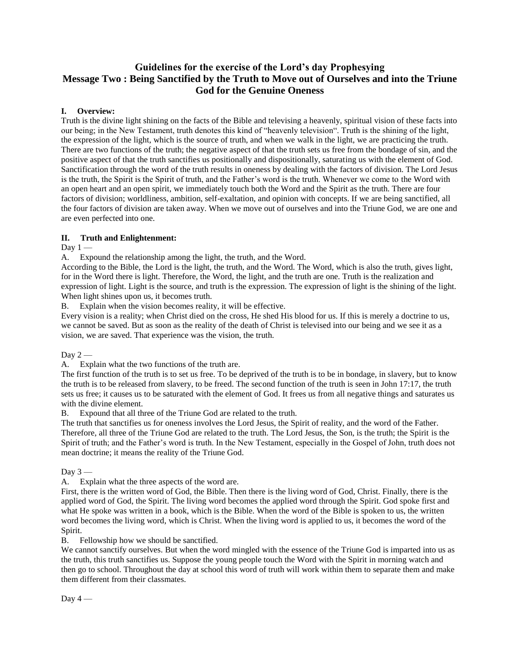# **Guidelines for the exercise of the Lord's day Prophesying Message Two : Being Sanctified by the Truth to Move out of Ourselves and into the Triune God for the Genuine Oneness**

### **I. Overview:**

Truth is the divine light shining on the facts of the Bible and televising a heavenly, spiritual vision of these facts into our being; in the New Testament, truth denotes this kind of "heavenly television". Truth is the shining of the light, the expression of the light, which is the source of truth, and when we walk in the light, we are practicing the truth. There are two functions of the truth; the negative aspect of that the truth sets us free from the bondage of sin, and the positive aspect of that the truth sanctifies us positionally and dispositionally, saturating us with the element of God. Sanctification through the word of the truth results in oneness by dealing with the factors of division. The Lord Jesus is the truth, the Spirit is the Spirit of truth, and the Father's word is the truth. Whenever we come to the Word with an open heart and an open spirit, we immediately touch both the Word and the Spirit as the truth. There are four factors of division; worldliness, ambition, self-exaltation, and opinion with concepts. If we are being sanctified, all the four factors of division are taken away. When we move out of ourselves and into the Triune God, we are one and are even perfected into one.

### **II. Truth and Enlightenment:**

### Day  $1 -$

A. Expound the relationship among the light, the truth, and the Word.

According to the Bible, the Lord is the light, the truth, and the Word. The Word, which is also the truth, gives light, for in the Word there is light. Therefore, the Word, the light, and the truth are one. Truth is the realization and expression of light. Light is the source, and truth is the expression. The expression of light is the shining of the light. When light shines upon us, it becomes truth.

B. Explain when the vision becomes reality, it will be effective.

Every vision is a reality; when Christ died on the cross, He shed His blood for us. If this is merely a doctrine to us, we cannot be saved. But as soon as the reality of the death of Christ is televised into our being and we see it as a vision, we are saved. That experience was the vision, the truth.

Day  $2-$ 

A. Explain what the two functions of the truth are.

The first function of the truth is to set us free. To be deprived of the truth is to be in bondage, in slavery, but to know the truth is to be released from slavery, to be freed. The second function of the truth is seen in John 17:17, the truth sets us free; it causes us to be saturated with the element of God. It frees us from all negative things and saturates us with the divine element.

B. Expound that all three of the Triune God are related to the truth.

The truth that sanctifies us for oneness involves the Lord Jesus, the Spirit of reality, and the word of the Father. Therefore, all three of the Triune God are related to the truth. The Lord Jesus, the Son, is the truth; the Spirit is the Spirit of truth; and the Father's word is truth. In the New Testament, especially in the Gospel of John, truth does not mean doctrine; it means the reality of the Triune God.

Day  $3-$ 

A. Explain what the three aspects of the word are.

First, there is the written word of God, the Bible. Then there is the living word of God, Christ. Finally, there is the applied word of God, the Spirit. The living word becomes the applied word through the Spirit. God spoke first and what He spoke was written in a book, which is the Bible. When the word of the Bible is spoken to us, the written word becomes the living word, which is Christ. When the living word is applied to us, it becomes the word of the Spirit.

B. Fellowship how we should be sanctified.

We cannot sanctify ourselves. But when the word mingled with the essence of the Triune God is imparted into us as the truth, this truth sanctifies us. Suppose the young people touch the Word with the Spirit in morning watch and then go to school. Throughout the day at school this word of truth will work within them to separate them and make them different from their classmates.

Day  $4-$